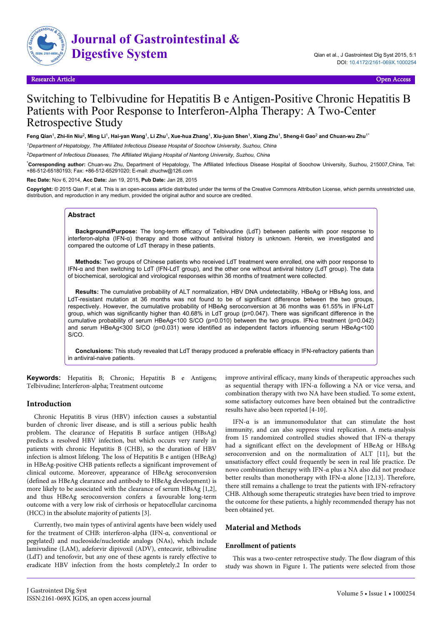

**Journal of Gastrointestinal & Digestive System**

# Switching to Telbivudine for Hepatitis B e Antigen-Positive Chronic Hepatitis B Patients with Poor Response to Interferon-Alpha Therapy: A Two-Center Retrospective Study

 $F$ eng Qian<sup>1</sup>, Zhi-lin Niu<sup>2</sup>, Ming Li<sup>1</sup>, Hai-yan Wang<sup>1</sup>, Li Zhu<sup>1</sup>, Xue-hua Zhang<sup>1</sup>, Xiu-juan Shen<sup>1</sup>, Xiang Zhu<sup>1</sup>, Sheng-li Gao<sup>2</sup> and Chuan-wu Zhu<sup>1</sup>'

*<sup>1</sup>Department of Hepatology, The Affiliated Infectious Disease Hospital of Soochow University, Suzhou, China*

*<sup>2</sup>Department of Infectious Diseases, The Affiliated Wujiang Hospital of Nantong University, Suzhou, China*

\***Corresponding author:** Chuan-wu Zhu, Department of Hepatology, The Affiliated Infectious Disease Hospital of Soochow University, Suzhou, 215007,China, Tel: +86-512-65180193; Fax: +86-512-65291020; E-mail: zhuchw@126.com

**Rec Date:** Nov 6, 2014, **Acc Date:** Jan 19, 2015, **Pub Date:** Jan 28, 2015

**Copyright:** © 2015 Qian F, et al. This is an open-access article distributed under the terms of the Creative Commons Attribution License, which permits unrestricted use, distribution, and reproduction in any medium, provided the original author and source are credited.

#### **Abstract**

**Background/Purpose:** The long-term efficacy of Telbivudine (LdT) between patients with poor response to interferon-alpha (IFN-α) therapy and those without antiviral history is unknown. Herein, we investigated and compared the outcome of LdT therapy in these patients.

**Methods:** Two groups of Chinese patients who received LdT treatment were enrolled, one with poor response to IFN-α and then switching to LdT (IFN-LdT group), and the other one without antiviral history (LdT group). The data of biochemical, serological and virological responses within 36 months of treatment were collected.

**Results:** The cumulative probability of ALT normalization, HBV DNA undetectability, HBeAg or HBsAg loss, and LdT-resistant mutation at 36 months was not found to be of significant difference between the two groups, respectively. However, the cumulative probability of HBeAg seroconversion at 36 months was 61.55% in IFN-LdT group, which was significantly higher than 40.68% in LdT group (p=0.047). There was significant difference in the cumulative probability of serum HBeAg<100 S/CO (p=0.010) between the two groups. IFN-α treatment (p=0.042) and serum HBeAg<300 S/CO (p=0.031) were identified as independent factors influencing serum HBeAg<100 S/CO.

**Conclusions:** This study revealed that LdT therapy produced a preferable efficacy in IFN-refractory patients than in antiviral-naive patients.

**Keywords:** Hepatitis B; Chronic; Hepatitis B e Antigens; Telbivudine; Interferon-alpha; Treatment outcome

## **Introduction**

Chronic Hepatitis B virus (HBV) infection causes a substantial burden of chronic liver disease, and is still a serious public health problem. The clearance of Hepatitis B surface antigen (HBsAg) predicts a resolved HBV infection, but which occurs very rarely in patients with chronic Hepatitis B (CHB), so the duration of HBV infection is almost lifelong. The loss of Hepatitis B e antigen (HBeAg) in HBeAg-positive CHB patients reflects a significant improvement of clinical outcome. Moreover, appearance of HBeAg seroconversion (defined as HBeAg clearance and antibody to HBeAg development) is more likely to be associated with the clearance of serum HBsAg [1,2], and thus HBeAg seroconversion confers a favourable long-term outcome with a very low risk of cirrhosis or hepatocellular carcinoma (HCC) in the absolute majority of patients [3].

Currently, two main types of antiviral agents have been widely used for the treatment of CHB: interferon-alpha (IFN-α, conventional or pegylated) and nucleoside/nucleotide analogs (NAs), which include lamivudine (LAM), adeforvir dipivoxil (ADV), entecavir, telbivudine (LdT) and tenofovir, but any one of these agents is rarely effective to eradicate HBV infection from the hosts completely.2 In order to improve antiviral efficacy, many kinds of therapeutic approaches such as sequential therapy with IFN-α following a NA or vice versa, and combination therapy with two NA have been studied. To some extent, some satisfactory outcomes have been obtained but the contradictive results have also been reported [4-10].

IFN-α is an immunomodulator that can stimulate the host immunity, and can also suppress viral replication. A meta-analysis from 15 randomized controlled studies showed that IFN-α therapy had a significant effect on the development of HBeAg or HBsAg seroconversion and on the normalization of ALT [11], but the unsatisfactory effect could frequently be seen in real life practice. De novo combination therapy with IFN-α plus a NA also did not produce better results than monotherapy with IFN-α alone [12,13]. Therefore, there still remains a challenge to treat the patients with IFN-refractory CHB. Although some therapeutic strategies have been tried to improve the outcome for these patients, a highly recommended therapy has not been obtained yet.

# **Material and Methods**

#### **Enrollment of patients**

This was a two-center retrospective study. The flow diagram of this study was shown in Figure 1. The patients were selected from those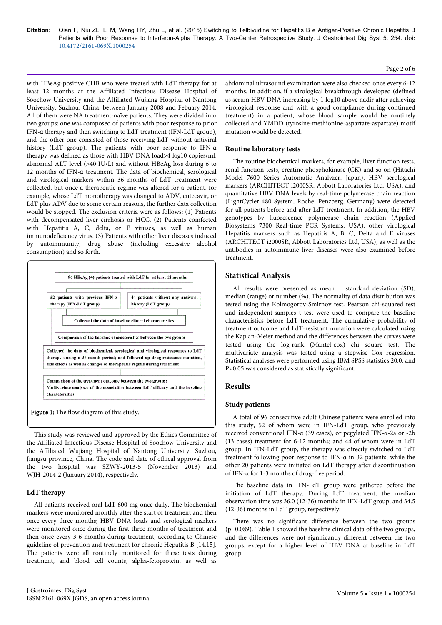with HBeAg-positive CHB who were treated with LdT therapy for at least 12 months at the Affiliated Infectious Disease Hospital of Soochow University and the Affiliated Wujiang Hospital of Nantong University, Suzhou, China, between January 2008 and Febuary 2014. All of them were NA treatment-naïve patients. They were divided into two groups: one was composed of patients with poor response to prior IFN-α therapy and then switching to LdT treatment (IFN-LdT group), and the other one consisted of those receiving LdT without antiviral history (LdT group). The patients with poor response to IFN-α therapy was defined as those with HBV DNA load>4 log10 copies/ml, abnormal ALT level (>40 IU/L) and without HBeAg loss during 6 to 12 months of IFN-α treatment. The data of biochemical, serological and virological markers within 36 months of LdT treatment were collected, but once a therapeutic regime was altered for a patient, for example, whose LdT monotherapy was changed to ADV, entecavir, or LdT plus ADV due to some certain reasons, the further data collection would be stopped. The exclusion criteria were as follows: (1) Patients with decompensated liver cirrhosis or HCC. (2) Patients coinfected with Hepatitis A, C, delta, or E viruses, as well as human immunodeficiency virus. (3) Patients with other liver diseases induced by autoimmunity, drug abuse (including excessive alcohol consumption) and so forth.



This study was reviewed and approved by the Ethics Committee of the Affiliated Infectious Disease Hospital of Soochow University and the Affiliated Wujiang Hospital of Nantong University, Suzhou, Jiangsu province, China. The code and date of ethical approval from the two hospital was SZWY-2013-5 (November 2013) and WJH-2014-2 (January 2014), respectively.

## **LdT therapy**

All patients received oral LdT 600 mg once daily. The biochemical markers were monitored monthly after the start of treatment and then once every three months; HBV DNA loads and serological markers were monitored once during the first three months of treatment and then once every 3-6 months during treatment, according to Chinese guideline of prevention and treatment for chronic Hepatitis B [14,15]. The patients were all routinely monitored for these tests during treatment, and blood cell counts, alpha-fetoprotein, as well as

Page 2 of 6

abdominal ultrasound examination were also checked once every 6-12 months. In addition, if a virological breakthrough developed (defined as serum HBV DNA increasing by 1 log10 above nadir after achieving virological response and with a good compliance during continued treatment) in a patient, whose blood sample would be routinely collected and YMDD (tyrosine-methionine-aspartate-aspartate) motif mutation would be detected.

## **Routine laboratory tests**

The routine biochemical markers, for example, liver function tests, renal function tests, creatine phosphokinase (CK) and so on (Hitachi Model 7600 Series Automatic Analyzer, Japan), HBV serological markers (ARCHITECT i2000SR, Abbott Laboratories Ltd, USA), and quantitative HBV DNA levels by real-time polymerase chain reaction (LightCycler 480 System, Roche, Penzberg, Germany) were detected for all patients before and after LdT treatment. In addition, the HBV genotypes by fluorescence polymerase chain reaction (Applied Biosystems 7300 Real-time PCR Systems, USA), other virological Hepatitis markers such as Hepatitis A, B, C, Delta and E viruses (ARCHITECT i2000SR, Abbott Laboratories Ltd, USA), as well as the antibodies in autoimmune liver diseases were also examined before treatment.

# **Statistical Analysis**

All results were presented as mean ± standard deviation (SD), median (range) or number (%). The normality of data distribution was tested using the Kolmogorov-Smirnov test. Pearson chi-squared test and independent-samples t test were used to compare the baseline characteristics before LdT treatment. The cumulative probability of treatment outcome and LdT-resistant mutation were calculated using the Kaplan-Meier method and the differences between the curves were tested using the log-rank (Mantel-cox) chi square test. The multivariate analysis was tested using a stepwise Cox regression. Statistical analyses were performed using IBM SPSS statistics 20.0, and P<0.05 was considered as statistically significant.

## **Results**

## **Study patients**

A total of 96 consecutive adult Chinese patients were enrolled into this study, 52 of whom were in IFN-LdT group, who previously received conventional IFN-α (39 cases), or pegylated IFN-α-2a or -2b (13 cases) treatment for 6-12 months; and 44 of whom were in LdT group. In IFN-LdT group, the therapy was directly switched to LdT treatment following poor response to IFN-α in 32 patients, while the other 20 patients were initiated on LdT therapy after discontinuation of IFN-α for 1-3 months of drug-free period.

The baseline data in IFN-LdT group were gathered before the initiation of LdT therapy. During LdT treatment, the median observation time was 36.0 (12-36) months in IFN-LdT group, and 34.5 (12-36) months in LdT group, respectively.

There was no significant difference between the two groups (p=0.089). Table 1 showed the baseline clinical data of the two groups, and the differences were not significantly different between the two groups, except for a higher level of HBV DNA at baseline in LdT group.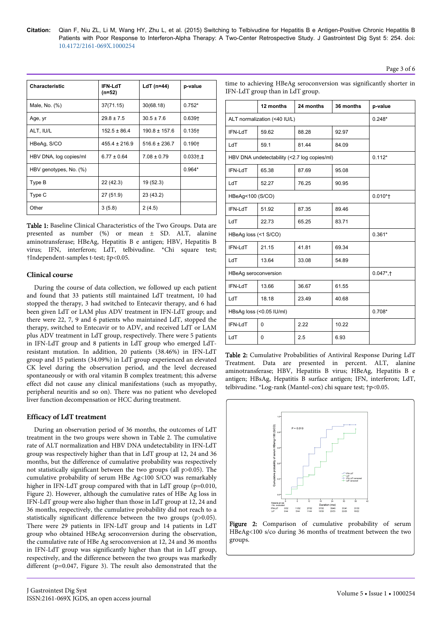#### Page 3 of 6

| Characteristic         | <b>IFN-LdT</b><br>(n=52) | LdT (n=44)        | p-value                      |
|------------------------|--------------------------|-------------------|------------------------------|
| Male, No. (%)          | 37(71.15)                | 30(68.18)         | $0.752*$                     |
| Age, yr                | $29.8 \pm 7.5$           | $30.5 \pm 7.6$    | $0.639+$                     |
| ALT, IU/L              | $152.5 \pm 86.4$         | $190.8 \pm 157.6$ | $0.135 +$                    |
| HBeAg, S/CO            | $455.4 \pm 216.9$        | $516.6 \pm 236.7$ | $0.190 +$                    |
| HBV DNA, log copies/ml | $6.77 \pm 0.64$          | $7.08 \pm 0.79$   | $0.033$ <sup>+</sup> , $\pm$ |
| HBV genotypes, No. (%) |                          |                   | $0.964*$                     |
| Type B                 | 22 (42.3)                | 19 (52.3)         |                              |
| Type C                 | 27 (51.9)                | 23 (43.2)         |                              |
| Other                  | 3(5.8)                   | 2(4.5)            |                              |

Table 1: Baseline Clinical Characteristics of the Two Groups. Data are presented as number (%) or mean ± SD. ALT, alanine aminotransferase; HBeAg, Hepatitis B e antigen; HBV, Hepatitis B virus; IFN, interferon; LdT, telbivudine. \*Chi square test; †Independent-samples t-test; ‡p<0.05.

# **Clinical course**

During the course of data collection, we followed up each patient and found that 33 patients still maintained LdT treatment, 10 had stopped the therapy, 3 had switched to Entecavir therapy, and 6 had been given LdT or LAM plus ADV treatment in IFN-LdT group; and there were 22, 7, 9 and 6 patients who maintained LdT, stopped the therapy, switched to Entecavir or to ADV, and received LdT or LAM plus ADV treatment in LdT group, respectively. There were 5 patients in IFN-LdT group and 8 patients in LdT group who emerged LdTresistant mutation. In addition, 20 patients (38.46%) in IFN-LdT group and 15 patients (34.09%) in LdT group experienced an elevated CK level during the observation period, and the level decreased spontaneously or with oral vitamin B complex treatment; this adverse effect did not cause any clinical manifestations (such as myopathy, peripheral neuritis and so on). There was no patient who developed liver function decompensation or HCC during treatment.

# **Efficacy of LdT treatment**

During an observation period of 36 months, the outcomes of LdT treatment in the two groups were shown in Table 2. The cumulative rate of ALT normalization and HBV DNA undetectability in IFN-LdT group was respectively higher than that in LdT group at 12, 24 and 36 months, but the difference of cumulative probability was respectively not statistically significant between the two groups (all p>0.05). The cumulative probability of serum HBe Ag<100 S/CO was remarkably higher in IFN-LdT group compared with that in LdT group (p=0.010, Figure 2). However, although the cumulative rates of HBe Ag loss in IFN-LdT group were also higher than those in LdT group at 12, 24 and 36 months, respectively, the cumulative probability did not reach to a statistically significant difference between the two groups (p>0.05). There were 29 patients in IFN-LdT group and 14 patients in LdT group who obtained HBeAg seroconversion during the observation, the cumulative rate of HBe Ag seroconversion at 12, 24 and 36 months in IFN-LdT group was significantly higher than that in LdT group, respectively, and the difference between the two groups was markedly different (p=0.047, Figure 3). The result also demonstrated that the

|                              | 12 months                                    | 24 months | 36 months | p-value      |
|------------------------------|----------------------------------------------|-----------|-----------|--------------|
| ALT normalization (<40 IU/L) |                                              |           |           | $0.248*$     |
| IFN-LdT                      | 59.62                                        | 88.28     | 92.97     |              |
| LdT                          | 59.1                                         | 81.44     | 84.09     |              |
|                              | HBV DNA undetectability (<2.7 log copies/ml) |           |           | $0.112*$     |
| IFN-LdT                      | 65.38                                        | 87.69     | 95.08     |              |
| LdT                          | 52.27                                        | 76.25     | 90.95     |              |
| HBeAg<100 (S/CO)             |                                              |           |           | $0.010*$     |
| IFN-LdT                      | 51.92                                        | 87.35     | 89.46     |              |
| LdT                          | 22.73                                        | 65.25     | 83.71     |              |
| HBeAg loss (<1 S/CO)         |                                              |           |           | $0.361*$     |
| IFN-LdT                      | 21.15                                        | 41.81     | 69.34     |              |
| LdT                          | 13.64                                        | 33.08     | 54.89     |              |
| HBeAg seroconversion         |                                              |           |           | $0.047$ *, † |
| IFN-LdT                      | 13.66                                        | 36.67     | 61.55     |              |
| LdT                          | 18.18                                        | 23.49     | 40.68     |              |
| HBsAg loss (<0.05 IU/ml)     |                                              |           |           | $0.708*$     |
| IFN-LdT                      | 0                                            | 2.22      | 10.22     |              |
| LdT                          | 0                                            | 2.5       | 6.93      |              |

time to achieving HBeAg seroconversion was significantly shorter in

IFN-LdT group than in LdT group.

Table 2: Cumulative Probabilities of Antiviral Response During LdT Treatment. Data are presented in percent. ALT, alanine aminotransferase; HBV, Hepatitis B virus; HBeAg, Hepatitis B e antigen; HBsAg, Hepatitis B surface antigen; IFN, interferon; LdT, telbivudine. \*Log-rank (Mantel-cox) chi square test; †p<0.05.



Figure 2: Comparison of cumulative probability of serum HBeAg<100 s/co during 36 months of treatment between the two groups.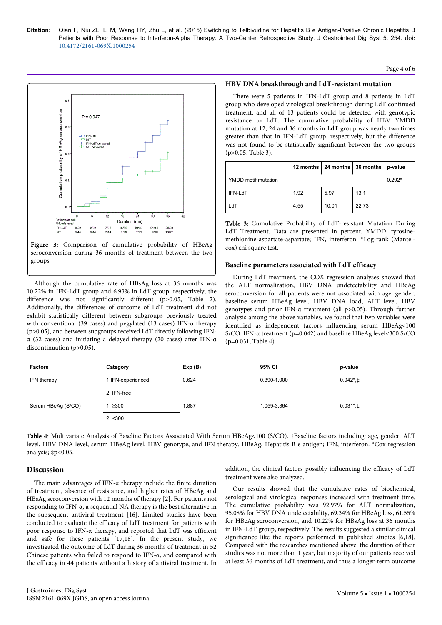#### Page 4 of 6



Figure 3: Comparison of cumulative probability of HBeAg seroconversion during 36 months of treatment between the two groups.

Although the cumulative rate of HBsAg loss at 36 months was 10.22% in IFN-LdT group and 6.93% in LdT group, respectively, the difference was not significantly different (p>0.05, Table 2). Additionally, the differences of outcome of LdT treatment did not exhibit statistically different between subgroups previously treated with conventional (39 cases) and pegylated (13 cases) IFN-α therapy  $(p>0.05)$ , and between subgroups received LdT directly following IFNα (32 cases) and initiating a delayed therapy (20 cases) after IFN-α discontinuation (p>0.05).

## **HBV DNA breakthrough and LdT-resistant mutation**

There were 5 patients in IFN-LdT group and 8 patients in LdT group who developed virological breakthrough during LdT continued treatment, and all of 13 patients could be detected with genotypic resistance to LdT. The cumulative probability of HBV YMDD mutation at 12, 24 and 36 months in LdT group was nearly two times greater than that in IFN-LdT group, respectively, but the difference was not found to be statistically significant between the two groups (p>0.05, Table 3).

|                     |      | 12 months   24 months   36 months   p-value |       |          |
|---------------------|------|---------------------------------------------|-------|----------|
| YMDD motif mutation |      |                                             |       | $0.292*$ |
| IFN-LdT             | 1.92 | 5.97                                        | 13.1  |          |
| LdT                 | 4.55 | 10.01                                       | 22.73 |          |

Table 3: Cumulative Probability of LdT-resistant Mutation During LdT Treatment. Data are presented in percent. YMDD, tyrosinemethionine-aspartate-aspartate; IFN, interferon. \*Log-rank (Mantelcox) chi square test.

#### **Baseline parameters associated with LdT efficacy**

During LdT treatment, the COX regression analyses showed that the ALT normalization, HBV DNA undetectability and HBeAg seroconversion for all patients were not associated with age, gender, baseline serum HBeAg level, HBV DNA load, ALT level, HBV genotypes and prior IFN-α treatment (all p>0.05). Through further analysis among the above variables, we found that two variables were identified as independent factors influencing serum HBeAg<100 S/CO: IFN-α treatment (p=0.042) and baseline HBeAg level<300 S/CO (p=0.031, Table 4).

| <b>Factors</b>     | Category          | Exp(B) | 95% CI      | p-value                  |
|--------------------|-------------------|--------|-------------|--------------------------|
| IFN therapy        | 1:IFN-experienced | 0.624  | 0.390-1.000 | $0.042^*$ , ‡            |
|                    | 2: IFN-free       |        |             |                          |
| Serum HBeAg (S/CO) | 1:≥300            | 1.887  | 1.059-3.364 | $0.031$ <sup>*</sup> , ‡ |
|                    | 2: < 300          |        |             |                          |

Table 4: Multivariate Analysis of Baseline Factors Associated With Serum HBeAg<100 (S/CO). †Baseline factors including: age, gender, ALT level, HBV DNA level, serum HBeAg level, HBV genotype, and IFN therapy. HBeAg, Hepatitis B e antigen; IFN, interferon. \*Cox regression analysis; ‡p<0.05.

## **Discussion**

The main advantages of IFN-α therapy include the finite duration of treatment, absence of resistance, and higher rates of HBeAg and HBsAg seroconversion with 12 months of therapy [2]. For patients not responding to IFN-α, a sequential NA therapy is the best alternative in the subsequent antiviral treatment [16]. Limited studies have been conducted to evaluate the efficacy of LdT treatment for patients with poor response to IFN-α therapy, and reported that LdT was efficient and safe for these patients [17,18]. In the present study, we investigated the outcome of LdT during 36 months of treatment in 52 Chinese patients who failed to respond to IFN-α, and compared with the efficacy in 44 patients without a history of antiviral treatment. In

addition, the clinical factors possibly influencing the efficacy of LdT treatment were also analyzed.

Our results showed that the cumulative rates of biochemical, serological and virological responses increased with treatment time. The cumulative probability was 92.97% for ALT normalization, 95.08% for HBV DNA undetectability, 69.34% for HBeAg loss, 61.55% for HBeAg seroconversion, and 10.22% for HBsAg loss at 36 months in IFN-LdT group, respectively. The results suggested a similar clinical significance like the reports performed in published studies [6,18]. Compared with the researches mentioned above, the duration of their studies was not more than 1 year, but majority of our patients received at least 36 months of LdT treatment, and thus a longer-term outcome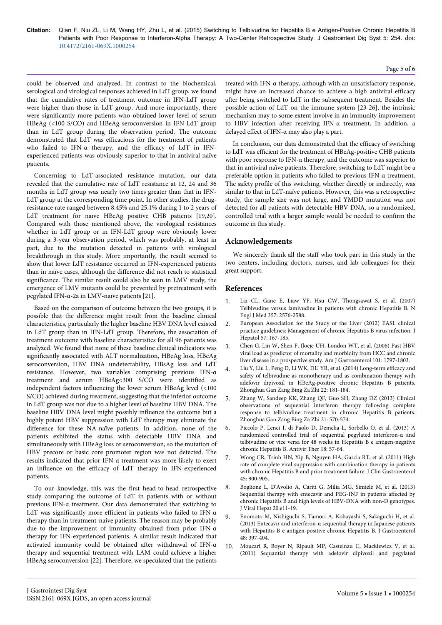could be observed and analyzed. In contrast to the biochemical, serological and virological responses achieved in LdT group, we found that the cumulative rates of treatment outcome in IFN-LdT group were higher than those in LdT group. And more importantly, there were significantly more patients who obtained lower level of serum HBeAg (<100 S/CO) and HBeAg seroconversion in IFN-LdT group than in LdT group during the observation period. The outcome demonstrated that LdT was efficacious for the treatment of patients who failed to IFN-α therapy, and the efficacy of LdT in IFNexperienced patients was obviously superior to that in antiviral naïve patients.

Concerning to LdT-associated resistance mutation, our data revealed that the cumulative rate of LdT resistance at 12, 24 and 36 months in LdT group was nearly two times greater than that in IFN-LdT group at the corresponding time point. In other studies, the drugresistance rate ranged between 8.45% and 25.1% during 1 to 2 years of LdT treatment for naïve HBeAg positive CHB patients [19,20]. Compared with those mentioned above, the virological resistances whether in LdT group or in IFN-LdT group were obviously lower during a 3-year observation period, which was probably, at least in part, due to the mutation detected in patients with virological breakthrough in this study. More importantly, the result seemed to show that lower LdT resistance occurred in IFN-experienced patients than in naïve cases, although the difference did not reach to statistical significance. The similar result could also be seen in LMV study, the emergence of LMV mutants could be prevented by pretreatment with pegylated IFN-α-2a in LMV-naïve patients [21].

Based on the comparison of outcome between the two groups, it is possible that the difference might result from the baseline clinical characteristics, particularly the higher baseline HBV DNA level existed in LdT group than in IFN-LdT group. Therefore, the association of treatment outcome with baseline characteristics for all 96 patients was analyzed. We found that none of these baseline clinical indicators was significantly associated with ALT normalization, HBeAg loss, HBeAg seroconversion, HBV DNA undetectability, HBsAg loss and LdT resistance. However, two variables comprising previous IFN-α treatment and serum HBeAg<300 S/CO were identified as independent factors influencing the lower serum HBeAg level (<100 S/CO) achieved during treatment, suggesting that the inferior outcome in LdT group was not due to a higher level of baseline HBV DNA. The baseline HBV DNA level might possibly influence the outcome but a highly potent HBV suppression with LdT therapy may eliminate the difference for these NA-naïve patients. In addition, none of the patients exhibited the status with detectable HBV DNA and simultaneously with HBeAg loss or seroconversion, so the mutation of HBV precore or basic core promoter region was not detected. The results indicated that prior IFN-α treatment was more likely to exert an influence on the efficacy of LdT therapy in IFN-experienced patients.

To our knowledge, this was the first head-to-head retrospective study comparing the outcome of LdT in patients with or without previous IFN-α treatment. Our data demonstrated that switching to LdT was significantly more efficient in patients who failed to IFN-α therapy than in treatment-naive patients. The reason may be probably due to the improvement of immunity obtained from prior IFN-α therapy for IFN-experienced patients. A similar result indicated that activated immunity could be obtained after withdrawal of IFN-α therapy and sequential treatment with LAM could achieve a higher HBeAg seroconversion [22]. Therefore, we speculated that the patients

treated with IFN-α therapy, although with an unsatisfactory response, might have an increased chance to achieve a high antiviral efficacy after being switched to LdT in the subsequent treatment. Besides the possible action of LdT on the immune system [23-26], the intrinsic mechanism may to some extent involve in an immunity improvement to HBV infection after receiving IFN-α treatment. In addition, a delayed effect of IFN-α may also play a part.

In conclusion, our data demonstrated that the efficacy of switching to LdT was efficient for the treatment of HBeAg-positive CHB patients with poor response to IFN-α therapy, and the outcome was superior to that in antiviral naïve patients. Therefore, switching to LdT might be a preferable option in patients who failed to previous IFN-α treatment. The safety profile of this switching, whether directly or indirectly, was similar to that in LdT-naïve patients. However, this was a retrospective study, the sample size was not large, and YMDD mutation was not detected for all patients with detectable HBV DNA, so a randomized, controlled trial with a larger sample would be needed to confirm the outcome in this study.

# **Acknowledgements**

We sincerely thank all the staff who took part in this study in the two centers, including doctors, nurses, and lab colleagues for their great support.

# **References**

- [Lai CL, Gane E, Liaw YF, Hsu CW, Thongsawat S, et al. \(2007\)](http://www.nejm.org/doi/full/10.1056/NEJMoa066422) [Telbivudine versus lamivudine in patients with chronic Hepatitis B. N](http://www.nejm.org/doi/full/10.1056/NEJMoa066422) [Engl J Med 357: 2576-2588.](http://www.nejm.org/doi/full/10.1056/NEJMoa066422)
- 2. [European Association for the Study of the Liver \(2012\) EASL clinical](http://www.easl.eu/assets/application/files/b73c0da3c52fa1d_file.pdf) [practice guidelines: Management of chronic Hepatitis B virus infection. J](http://www.easl.eu/assets/application/files/b73c0da3c52fa1d_file.pdf) [Hepatol 57: 167-185.](http://www.easl.eu/assets/application/files/b73c0da3c52fa1d_file.pdf)
- 3. [Chen G, Lin W, Shen F, Iloeje UH, London WT, et al. \(2006\) Past HBV](http://file.yynet.cn:8080/6fd2efc4619b2d940cf5f7b17f810e9c/news_2006101213510.pdf) [viral load as predictor of mortality and morbidity from HCC and chronic](http://file.yynet.cn:8080/6fd2efc4619b2d940cf5f7b17f810e9c/news_2006101213510.pdf) [liver disease in a prospective study. Am J Gastroenterol 101: 1797-1803.](http://file.yynet.cn:8080/6fd2efc4619b2d940cf5f7b17f810e9c/news_2006101213510.pdf)
- 4. Liu Y, Liu L, Peng D, Li WK, DU YR, et al. (2014) Long-term efficacy and safety of telbivudine as monotherapy and as combination therapy with adefovir dipivoxil in HBeAg-positive chronic Hepatitis B patients. Zhonghua Gan Zang Bing Za Zhi 22: 181-184.
- 5. [Zhang W, Sandeep KK, Zhang QF, Guo SH, Zhang DZ \(2013\) Clinical](http://www.bioportfolio.com/resources/pmarticle/680392/Clinical-observations-of-sequential-interferon-therapy-following-complete-response-to-telbivudine-treatment.html) [observations of sequential interferon therapy following complete](http://www.bioportfolio.com/resources/pmarticle/680392/Clinical-observations-of-sequential-interferon-therapy-following-complete-response-to-telbivudine-treatment.html) [response to telbivudine treatment in chronic Hepatitis B patients.](http://www.bioportfolio.com/resources/pmarticle/680392/Clinical-observations-of-sequential-interferon-therapy-following-complete-response-to-telbivudine-treatment.html) [Zhonghua Gan Zang Bing Za Zhi 21: 570-574.](http://www.bioportfolio.com/resources/pmarticle/680392/Clinical-observations-of-sequential-interferon-therapy-following-complete-response-to-telbivudine-treatment.html)
- 6. [Piccolo P, Lenci I, di Paolo D, Demelia L, Sorbello O, et al. \(2013\) A](http://www.intmedpress.com/journals/avt/article.cfm?id=2281&pid=88&sType=AVT) [randomized controlled trial of sequential pegylated interferon-α and](http://www.intmedpress.com/journals/avt/article.cfm?id=2281&pid=88&sType=AVT) [telbivudine or vice versa for 48 weeks in Hepatitis B e antigen-negative](http://www.intmedpress.com/journals/avt/article.cfm?id=2281&pid=88&sType=AVT) [chronic Hepatitis B. Antivir Ther 18: 57-64.](http://www.intmedpress.com/journals/avt/article.cfm?id=2281&pid=88&sType=AVT)
- 7. [Wong CR, Trinh HN, Yip B, Nguyen HA, Garcia RT, et al. \(2011\) High](http://www.pubfacts.com/detail/21778896/High-rate-of-complete-viral-suppression-with-combination-therapy-in-patients-with-chronic-hepatitis-) [rate of complete viral suppression with combination therapy in patients](http://www.pubfacts.com/detail/21778896/High-rate-of-complete-viral-suppression-with-combination-therapy-in-patients-with-chronic-hepatitis-) [with chronic Hepatitis B and prior treatment failure. J Clin Gastroenterol](http://www.pubfacts.com/detail/21778896/High-rate-of-complete-viral-suppression-with-combination-therapy-in-patients-with-chronic-hepatitis-) [45: 900-905.](http://www.pubfacts.com/detail/21778896/High-rate-of-complete-viral-suppression-with-combination-therapy-in-patients-with-chronic-hepatitis-)
- 8. [Boglione L, D'Avolio A, Cariti G, Milia MG, Simiele M, et al. \(2013\)](http://www.researchgate.net/publication/236046395_Sequential_therapy_with_entecavir_and_PEG-INF_in_patients_affected_by_chronic_hepatitis_B_and_high_levels_of_HBV-DNA_with_non-D_genotypes) [Sequential therapy with entecavir and PEG-INF in patients affected by](http://www.researchgate.net/publication/236046395_Sequential_therapy_with_entecavir_and_PEG-INF_in_patients_affected_by_chronic_hepatitis_B_and_high_levels_of_HBV-DNA_with_non-D_genotypes) [chronic Hepatitis B and high levels of HBV-DNA with non-D genotypes.](http://www.researchgate.net/publication/236046395_Sequential_therapy_with_entecavir_and_PEG-INF_in_patients_affected_by_chronic_hepatitis_B_and_high_levels_of_HBV-DNA_with_non-D_genotypes) [J Viral Hepat 20:e11-19.](http://www.researchgate.net/publication/236046395_Sequential_therapy_with_entecavir_and_PEG-INF_in_patients_affected_by_chronic_hepatitis_B_and_high_levels_of_HBV-DNA_with_non-D_genotypes)
- 9. [Enomoto M, Nishiguchi S, Tamori A, Kobayashi S, Sakaguchi H, et al.](http://www.pubfacts.com/detail/22850869/Entecavir-and-interferon-%CE%B1-sequential-therapy-in-Japanese-patients-with-hepatitis-B-e-antigen-posit) [\(2013\) Entecavir and interferon-α sequential therapy in Japanese patients](http://www.pubfacts.com/detail/22850869/Entecavir-and-interferon-%CE%B1-sequential-therapy-in-Japanese-patients-with-hepatitis-B-e-antigen-posit) [with Hepatitis B e antigen-positive chronic Hepatitis B. J Gastroenterol](http://www.pubfacts.com/detail/22850869/Entecavir-and-interferon-%CE%B1-sequential-therapy-in-Japanese-patients-with-hepatitis-B-e-antigen-posit) [48: 397-404.](http://www.pubfacts.com/detail/22850869/Entecavir-and-interferon-%CE%B1-sequential-therapy-in-Japanese-patients-with-hepatitis-B-e-antigen-posit)
- 10. [Moucari R, Boyer N, Ripault MP, Castelnau C, Mackiewicz V, et al.](http://www.researchgate.net/publication/44615915_Sequential_therapy_with_adefovir_dipivoxil_and_pegylated_interferon_alfa-2a_for_HBeAg-negative_patients) [\(2011\) Sequantial therapy with adefovir dipivoxil and pegylated](http://www.researchgate.net/publication/44615915_Sequential_therapy_with_adefovir_dipivoxil_and_pegylated_interferon_alfa-2a_for_HBeAg-negative_patients)

#### Page 5 of 6